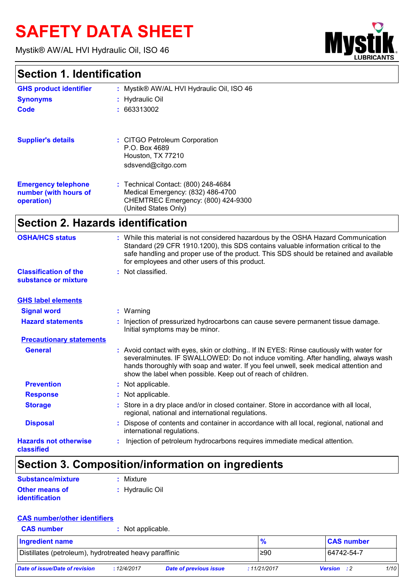# **SAFETY DATA SHEET**

Mystik® AW/AL HVI Hydraulic Oil, ISO 46



### **Section 1. Identification**

| <b>GHS product identifier</b>                                     | : Mystik® AW/AL HVI Hydraulic Oil, ISO 46                                                                                                                                                                                                                                                                                            |
|-------------------------------------------------------------------|--------------------------------------------------------------------------------------------------------------------------------------------------------------------------------------------------------------------------------------------------------------------------------------------------------------------------------------|
| <b>Synonyms</b>                                                   | <b>Hydraulic Oil</b>                                                                                                                                                                                                                                                                                                                 |
| <b>Code</b>                                                       | 663313002                                                                                                                                                                                                                                                                                                                            |
| <b>Supplier's details</b>                                         | : CITGO Petroleum Corporation<br>P.O. Box 4689<br>Houston, TX 77210<br>sdsvend@citgo.com                                                                                                                                                                                                                                             |
| <b>Emergency telephone</b><br>number (with hours of<br>operation) | : Technical Contact: (800) 248-4684<br>Medical Emergency: (832) 486-4700<br>CHEMTREC Emergency: (800) 424-9300<br>(United States Only)                                                                                                                                                                                               |
| <b>Section 2. Hazards identification</b>                          |                                                                                                                                                                                                                                                                                                                                      |
| <b>OSHA/HCS status</b>                                            | : While this material is not considered hazardous by the OSHA Hazard Communication<br>Standard (29 CFR 1910.1200), this SDS contains valuable information critical to the<br>safe handling and proper use of the product. This SDS should be retained and available<br>for employees and other users of this product.                |
| <b>Classification of the</b><br>substance or mixture              | : Not classified.                                                                                                                                                                                                                                                                                                                    |
| <b>GHS label elements</b>                                         |                                                                                                                                                                                                                                                                                                                                      |
| <b>Signal word</b>                                                | : Warning                                                                                                                                                                                                                                                                                                                            |
| <b>Hazard statements</b>                                          | Injection of pressurized hydrocarbons can cause severe permanent tissue damage.<br>Initial symptoms may be minor.                                                                                                                                                                                                                    |
| <b>Precautionary statements</b>                                   |                                                                                                                                                                                                                                                                                                                                      |
| <b>General</b>                                                    | : Avoid contact with eyes, skin or clothing If IN EYES: Rinse cautiously with water for<br>severalminutes. IF SWALLOWED: Do not induce vomiting. After handling, always wash<br>hands thoroughly with soap and water. If you feel unwell, seek medical attention and<br>show the label when possible. Keep out of reach of children. |
| <b>Prevention</b>                                                 | : Not applicable.                                                                                                                                                                                                                                                                                                                    |
| <b>Response</b>                                                   | : Not applicable.                                                                                                                                                                                                                                                                                                                    |
| <b>Storage</b>                                                    | Store in a dry place and/or in closed container. Store in accordance with all local,<br>regional, national and international regulations.                                                                                                                                                                                            |
| <b>Disposal</b>                                                   | Dispose of contents and container in accordance with all local, regional, national and<br>international regulations.                                                                                                                                                                                                                 |
| <b>Hazards not otherwise</b><br>classified                        | Injection of petroleum hydrocarbons requires immediate medical attention.                                                                                                                                                                                                                                                            |

# **Section 3. Composition/information on ingredients**

| Substance/mixture     | $:$ Mixture     |
|-----------------------|-----------------|
| <b>Other means of</b> | : Hydraulic Oil |
| <i>identification</i> |                 |

### **CAS number/other identifiers**

| <b>CAS number</b>                                      | : Not applicable. |                        |               |                    |      |
|--------------------------------------------------------|-------------------|------------------------|---------------|--------------------|------|
| <b>Ingredient name</b>                                 |                   |                        | $\frac{9}{6}$ | <b>CAS number</b>  |      |
| Distillates (petroleum), hydrotreated heavy paraffinic |                   |                        | 1≥90          | 64742-54-7         |      |
| Date of issue/Date of revision                         | : 12/4/2017       | Date of previous issue | :11/21/2017   | <b>Version</b> : 2 | 1/10 |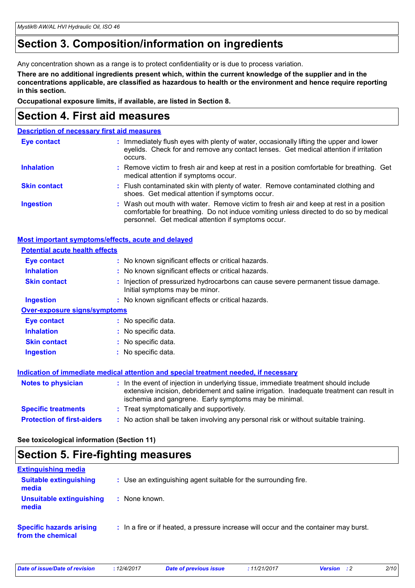# **Section 3. Composition/information on ingredients**

Any concentration shown as a range is to protect confidentiality or is due to process variation.

**There are no additional ingredients present which, within the current knowledge of the supplier and in the concentrations applicable, are classified as hazardous to health or the environment and hence require reporting in this section.**

**Occupational exposure limits, if available, are listed in Section 8.**

### **Section 4. First aid measures**

| <b>Description of necessary first aid measures</b> |  |                                                                                                                                                                                                                                        |  |
|----------------------------------------------------|--|----------------------------------------------------------------------------------------------------------------------------------------------------------------------------------------------------------------------------------------|--|
| <b>Eye contact</b>                                 |  | : Immediately flush eyes with plenty of water, occasionally lifting the upper and lower<br>eyelids. Check for and remove any contact lenses. Get medical attention if irritation<br>occurs.                                            |  |
| <b>Inhalation</b>                                  |  | : Remove victim to fresh air and keep at rest in a position comfortable for breathing. Get<br>medical attention if symptoms occur.                                                                                                     |  |
| <b>Skin contact</b>                                |  | : Flush contaminated skin with plenty of water. Remove contaminated clothing and<br>shoes. Get medical attention if symptoms occur.                                                                                                    |  |
| <b>Ingestion</b>                                   |  | : Wash out mouth with water. Remove victim to fresh air and keep at rest in a position<br>comfortable for breathing. Do not induce vomiting unless directed to do so by medical<br>personnel. Get medical attention if symptoms occur. |  |

| <b>Most important symptoms/effects, acute and delayed</b> |                                                                                                                                                                                                                                            |
|-----------------------------------------------------------|--------------------------------------------------------------------------------------------------------------------------------------------------------------------------------------------------------------------------------------------|
| <b>Potential acute health effects</b>                     |                                                                                                                                                                                                                                            |
| Eye contact                                               | : No known significant effects or critical hazards.                                                                                                                                                                                        |
| <b>Inhalation</b>                                         | : No known significant effects or critical hazards.                                                                                                                                                                                        |
| <b>Skin contact</b>                                       | : Injection of pressurized hydrocarbons can cause severe permanent tissue damage.<br>Initial symptoms may be minor.                                                                                                                        |
| <b>Ingestion</b>                                          | : No known significant effects or critical hazards.                                                                                                                                                                                        |
| <b>Over-exposure signs/symptoms</b>                       |                                                                                                                                                                                                                                            |
| Eye contact                                               | : No specific data.                                                                                                                                                                                                                        |
| <b>Inhalation</b>                                         | : No specific data.                                                                                                                                                                                                                        |
| <b>Skin contact</b>                                       | : No specific data.                                                                                                                                                                                                                        |
| <b>Ingestion</b>                                          | : No specific data.                                                                                                                                                                                                                        |
|                                                           | <u>Indication of immediate medical attention and special treatment needed, if necessary</u>                                                                                                                                                |
| <b>Notes to physician</b>                                 | : In the event of injection in underlying tissue, immediate treatment should include<br>extensive incision, debridement and saline irrigation. Inadequate treatment can result in<br>ischemia and gangrene. Early symptoms may be minimal. |
| <b>Specific treatments</b>                                | : Treat symptomatically and supportively.                                                                                                                                                                                                  |
| <b>Protection of first-aiders</b>                         | : No action shall be taken involving any personal risk or without suitable training.                                                                                                                                                       |

**See toxicological information (Section 11)**

#### **Section 5. Fire-fighting measures**

| <b>Extinguishing media</b>                           |                                                                                       |
|------------------------------------------------------|---------------------------------------------------------------------------------------|
| <b>Suitable extinguishing</b><br>media               | : Use an extinguishing agent suitable for the surrounding fire.                       |
| Unsuitable extinguishing<br>media                    | : None known.                                                                         |
| <b>Specific hazards arising</b><br>from the chemical | : In a fire or if heated, a pressure increase will occur and the container may burst. |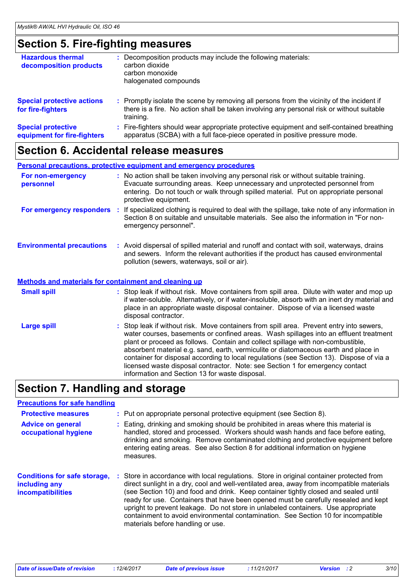# **Section 5. Fire-fighting measures**

| <b>Hazardous thermal</b><br>decomposition products       | Decomposition products may include the following materials:<br>carbon dioxide<br>carbon monoxide<br>halogenated compounds                                                                           |
|----------------------------------------------------------|-----------------------------------------------------------------------------------------------------------------------------------------------------------------------------------------------------|
| <b>Special protective actions</b><br>for fire-fighters   | : Promptly isolate the scene by removing all persons from the vicinity of the incident if<br>there is a fire. No action shall be taken involving any personal risk or without suitable<br>training. |
| <b>Special protective</b><br>equipment for fire-fighters | Fire-fighters should wear appropriate protective equipment and self-contained breathing<br>apparatus (SCBA) with a full face-piece operated in positive pressure mode.                              |

# **Section 6. Accidental release measures**

|                                                              | <b>Personal precautions, protective equipment and emergency procedures</b>                                                                                                                                                                                                                                                                                                                                                                                                                                                                                                                 |
|--------------------------------------------------------------|--------------------------------------------------------------------------------------------------------------------------------------------------------------------------------------------------------------------------------------------------------------------------------------------------------------------------------------------------------------------------------------------------------------------------------------------------------------------------------------------------------------------------------------------------------------------------------------------|
| For non-emergency<br>personnel                               | : No action shall be taken involving any personal risk or without suitable training.<br>Evacuate surrounding areas. Keep unnecessary and unprotected personnel from<br>entering. Do not touch or walk through spilled material. Put on appropriate personal<br>protective equipment.                                                                                                                                                                                                                                                                                                       |
|                                                              | For emergency responders : If specialized clothing is required to deal with the spillage, take note of any information in<br>Section 8 on suitable and unsuitable materials. See also the information in "For non-<br>emergency personnel".                                                                                                                                                                                                                                                                                                                                                |
| <b>Environmental precautions</b>                             | : Avoid dispersal of spilled material and runoff and contact with soil, waterways, drains<br>and sewers. Inform the relevant authorities if the product has caused environmental<br>pollution (sewers, waterways, soil or air).                                                                                                                                                                                                                                                                                                                                                            |
| <b>Methods and materials for containment and cleaning up</b> |                                                                                                                                                                                                                                                                                                                                                                                                                                                                                                                                                                                            |
| <b>Small spill</b>                                           | : Stop leak if without risk. Move containers from spill area. Dilute with water and mop up<br>if water-soluble. Alternatively, or if water-insoluble, absorb with an inert dry material and<br>place in an appropriate waste disposal container. Dispose of via a licensed waste<br>disposal contractor.                                                                                                                                                                                                                                                                                   |
| <b>Large spill</b>                                           | : Stop leak if without risk. Move containers from spill area. Prevent entry into sewers,<br>water courses, basements or confined areas. Wash spillages into an effluent treatment<br>plant or proceed as follows. Contain and collect spillage with non-combustible,<br>absorbent material e.g. sand, earth, vermiculite or diatomaceous earth and place in<br>container for disposal according to local regulations (see Section 13). Dispose of via a<br>licensed waste disposal contractor. Note: see Section 1 for emergency contact<br>information and Section 13 for waste disposal. |

# **Section 7. Handling and storage**

| <b>Precautions for safe handling</b>                                             |    |                                                                                                                                                                                                                                                                                                                                                                                                                                                                                                                                                                                  |
|----------------------------------------------------------------------------------|----|----------------------------------------------------------------------------------------------------------------------------------------------------------------------------------------------------------------------------------------------------------------------------------------------------------------------------------------------------------------------------------------------------------------------------------------------------------------------------------------------------------------------------------------------------------------------------------|
| <b>Protective measures</b>                                                       |    | : Put on appropriate personal protective equipment (see Section 8).                                                                                                                                                                                                                                                                                                                                                                                                                                                                                                              |
| <b>Advice on general</b><br>occupational hygiene                                 |    | Eating, drinking and smoking should be prohibited in areas where this material is<br>handled, stored and processed. Workers should wash hands and face before eating,<br>drinking and smoking. Remove contaminated clothing and protective equipment before<br>entering eating areas. See also Section 8 for additional information on hygiene<br>measures.                                                                                                                                                                                                                      |
| <b>Conditions for safe storage,</b><br>including any<br><b>incompatibilities</b> | ÷. | Store in accordance with local regulations. Store in original container protected from<br>direct sunlight in a dry, cool and well-ventilated area, away from incompatible materials<br>(see Section 10) and food and drink. Keep container tightly closed and sealed until<br>ready for use. Containers that have been opened must be carefully resealed and kept<br>upright to prevent leakage. Do not store in unlabeled containers. Use appropriate<br>containment to avoid environmental contamination. See Section 10 for incompatible<br>materials before handling or use. |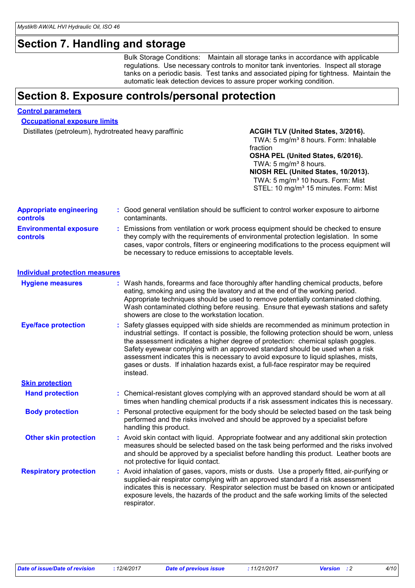#### **Section 7. Handling and storage**

Bulk Storage Conditions: Maintain all storage tanks in accordance with applicable regulations. Use necessary controls to monitor tank inventories. Inspect all storage tanks on a periodic basis. Test tanks and associated piping for tightness. Maintain the automatic leak detection devices to assure proper working condition.

#### **Section 8. Exposure controls/personal protection**

#### **Control parameters**

**Occupational exposure limits**

Distillates (petroleum), hydrotreated heavy paraffinic **ACGIH TLV (United States, 3/2016).** 

#### TWA: 5 mg/m<sup>3</sup> 8 hours. Form: Inhalable fraction **OSHA PEL (United States, 6/2016).** TWA:  $5 \text{ mg/m}^3$  8 hours. **NIOSH REL (United States, 10/2013).** TWA: 5 mg/m<sup>3</sup> 10 hours. Form: Mist STEL: 10 mg/m<sup>3</sup> 15 minutes. Form: Mist

| <b>Appropriate engineering</b><br><b>controls</b> | : Good general ventilation should be sufficient to control worker exposure to airborne<br>contaminants.                                                                                                                                                                                                                                                                                                                                                                                                                                             |
|---------------------------------------------------|-----------------------------------------------------------------------------------------------------------------------------------------------------------------------------------------------------------------------------------------------------------------------------------------------------------------------------------------------------------------------------------------------------------------------------------------------------------------------------------------------------------------------------------------------------|
| <b>Environmental exposure</b><br><b>controls</b>  | : Emissions from ventilation or work process equipment should be checked to ensure<br>they comply with the requirements of environmental protection legislation. In some<br>cases, vapor controls, filters or engineering modifications to the process equipment will<br>be necessary to reduce emissions to acceptable levels.                                                                                                                                                                                                                     |
| <b>Individual protection measures</b>             |                                                                                                                                                                                                                                                                                                                                                                                                                                                                                                                                                     |
| <b>Hygiene measures</b>                           | : Wash hands, forearms and face thoroughly after handling chemical products, before<br>eating, smoking and using the lavatory and at the end of the working period.<br>Appropriate techniques should be used to remove potentially contaminated clothing.<br>Wash contaminated clothing before reusing. Ensure that eyewash stations and safety<br>showers are close to the workstation location.                                                                                                                                                   |
| <b>Eye/face protection</b>                        | : Safety glasses equipped with side shields are recommended as minimum protection in<br>industrial settings. If contact is possible, the following protection should be worn, unless<br>the assessment indicates a higher degree of protection: chemical splash goggles.<br>Safety eyewear complying with an approved standard should be used when a risk<br>assessment indicates this is necessary to avoid exposure to liquid splashes, mists,<br>gases or dusts. If inhalation hazards exist, a full-face respirator may be required<br>instead. |
| <b>Skin protection</b>                            |                                                                                                                                                                                                                                                                                                                                                                                                                                                                                                                                                     |
| <b>Hand protection</b>                            | : Chemical-resistant gloves complying with an approved standard should be worn at all<br>times when handling chemical products if a risk assessment indicates this is necessary.                                                                                                                                                                                                                                                                                                                                                                    |
| <b>Body protection</b>                            | : Personal protective equipment for the body should be selected based on the task being<br>performed and the risks involved and should be approved by a specialist before<br>handling this product.                                                                                                                                                                                                                                                                                                                                                 |
| <b>Other skin protection</b>                      | : Avoid skin contact with liquid. Appropriate footwear and any additional skin protection<br>measures should be selected based on the task being performed and the risks involved<br>and should be approved by a specialist before handling this product. Leather boots are<br>not protective for liquid contact.                                                                                                                                                                                                                                   |
| <b>Respiratory protection</b>                     | : Avoid inhalation of gases, vapors, mists or dusts. Use a properly fitted, air-purifying or<br>supplied-air respirator complying with an approved standard if a risk assessment<br>indicates this is necessary. Respirator selection must be based on known or anticipated<br>exposure levels, the hazards of the product and the safe working limits of the selected<br>respirator.                                                                                                                                                               |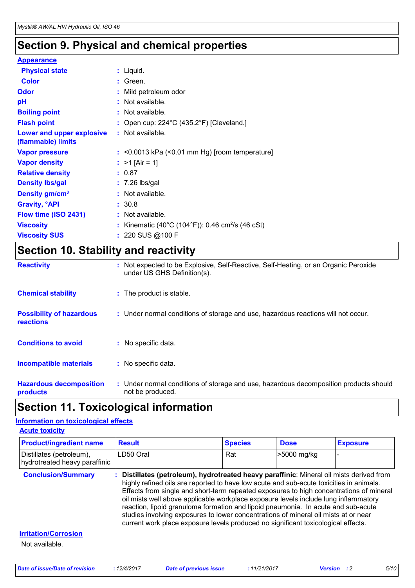# **Section 9. Physical and chemical properties**

#### **Appearance**

| <b>Physical state</b>                           | $:$ Liquid.                                                  |
|-------------------------------------------------|--------------------------------------------------------------|
| <b>Color</b>                                    | : Green.                                                     |
| <b>Odor</b>                                     | : Mild petroleum odor                                        |
| рH                                              | $:$ Not available.                                           |
| <b>Boiling point</b>                            | : Not available.                                             |
| <b>Flash point</b>                              | : Open cup: $224^{\circ}$ C (435.2°F) [Cleveland.]           |
| Lower and upper explosive<br>(flammable) limits | : Not available.                                             |
| <b>Vapor pressure</b>                           | $:$ <0.0013 kPa (<0.01 mm Hg) [room temperature]             |
| <b>Vapor density</b>                            | : $>1$ [Air = 1]                                             |
| <b>Relative density</b>                         | : 0.87                                                       |
| <b>Density Ibs/gal</b>                          | $: 7.26$ lbs/gal                                             |
| Density gm/cm <sup>3</sup>                      | $:$ Not available.                                           |
| <b>Gravity, <sup>o</sup>API</b>                 | : 30.8                                                       |
| Flow time (ISO 2431)                            | : Not available.                                             |
| <b>Viscosity</b>                                | : Kinematic (40°C (104°F)): 0.46 cm <sup>2</sup> /s (46 cSt) |
| <b>Viscosity SUS</b>                            | : 220 SUS @100 F                                             |

# **Section 10. Stability and reactivity**

| <b>Reactivity</b>                            | : Not expected to be Explosive, Self-Reactive, Self-Heating, or an Organic Peroxide<br>under US GHS Definition(s). |
|----------------------------------------------|--------------------------------------------------------------------------------------------------------------------|
| <b>Chemical stability</b>                    | : The product is stable.                                                                                           |
| <b>Possibility of hazardous</b><br>reactions | : Under normal conditions of storage and use, hazardous reactions will not occur.                                  |
| <b>Conditions to avoid</b>                   | : No specific data.                                                                                                |
| Incompatible materials                       | : No specific data.                                                                                                |
| <b>Hazardous decomposition</b><br>products   | : Under normal conditions of storage and use, hazardous decomposition products should<br>not be produced.          |

#### **Section 11. Toxicological information**

#### **Information on toxicological effects**

| <b>Product/ingredient name</b>                            | <b>Result</b>                                                                                                                                                                                                                                                                                                                                                                                                                                                                                                                                                                                                                          | <b>Species</b> | <b>Dose</b> | <b>Exposure</b> |  |  |
|-----------------------------------------------------------|----------------------------------------------------------------------------------------------------------------------------------------------------------------------------------------------------------------------------------------------------------------------------------------------------------------------------------------------------------------------------------------------------------------------------------------------------------------------------------------------------------------------------------------------------------------------------------------------------------------------------------------|----------------|-------------|-----------------|--|--|
| Distillates (petroleum),<br>hydrotreated heavy paraffinic | LD50 Oral                                                                                                                                                                                                                                                                                                                                                                                                                                                                                                                                                                                                                              | Rat            | >5000 mg/kg |                 |  |  |
| <b>Conclusion/Summary</b>                                 | : Distillates (petroleum), hydrotreated heavy paraffinic: Mineral oil mists derived from<br>highly refined oils are reported to have low acute and sub-acute toxicities in animals.<br>Effects from single and short-term repeated exposures to high concentrations of mineral<br>oil mists well above applicable workplace exposure levels include lung inflammatory<br>reaction, lipoid granuloma formation and lipoid pneumonia. In acute and sub-acute<br>studies involving exposures to lower concentrations of mineral oil mists at or near<br>current work place exposure levels produced no significant toxicological effects. |                |             |                 |  |  |
|                                                           |                                                                                                                                                                                                                                                                                                                                                                                                                                                                                                                                                                                                                                        |                |             |                 |  |  |
| <b>Irritation/Corrosion</b>                               |                                                                                                                                                                                                                                                                                                                                                                                                                                                                                                                                                                                                                                        |                |             |                 |  |  |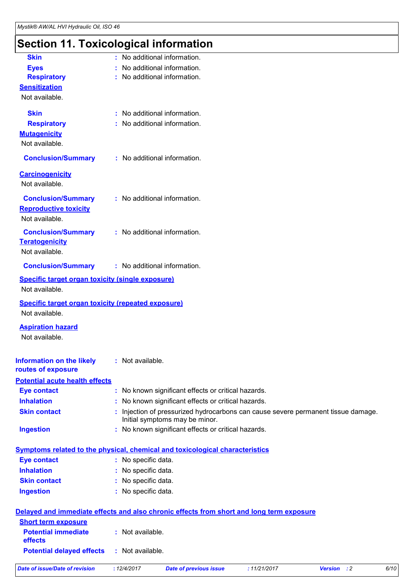# **Section 11. Toxicological information**

| <b>Skin</b>                                               | : No additional information.                                                                                      |
|-----------------------------------------------------------|-------------------------------------------------------------------------------------------------------------------|
| <b>Eyes</b>                                               | No additional information.                                                                                        |
| <b>Respiratory</b>                                        | : No additional information.                                                                                      |
| <b>Sensitization</b>                                      |                                                                                                                   |
| Not available.                                            |                                                                                                                   |
| <b>Skin</b>                                               |                                                                                                                   |
|                                                           | : No additional information.                                                                                      |
| <b>Respiratory</b>                                        | : No additional information.                                                                                      |
| <b>Mutagenicity</b><br>Not available.                     |                                                                                                                   |
|                                                           |                                                                                                                   |
| <b>Conclusion/Summary</b>                                 | : No additional information.                                                                                      |
| <b>Carcinogenicity</b><br>Not available.                  |                                                                                                                   |
| <b>Conclusion/Summary</b>                                 | : No additional information.                                                                                      |
| <b>Reproductive toxicity</b>                              |                                                                                                                   |
| Not available.                                            |                                                                                                                   |
| <b>Conclusion/Summary</b>                                 | : No additional information.                                                                                      |
| <b>Teratogenicity</b>                                     |                                                                                                                   |
| Not available.                                            |                                                                                                                   |
| <b>Conclusion/Summary</b>                                 | : No additional information.                                                                                      |
| <b>Specific target organ toxicity (single exposure)</b>   |                                                                                                                   |
| Not available.                                            |                                                                                                                   |
| <b>Specific target organ toxicity (repeated exposure)</b> |                                                                                                                   |
| Not available.                                            |                                                                                                                   |
| <b>Aspiration hazard</b><br>Not available.                |                                                                                                                   |
|                                                           |                                                                                                                   |
| <b>Information on the likely</b><br>routes of exposure    | : Not available.                                                                                                  |
| <b>Potential acute health effects</b>                     |                                                                                                                   |
| <b>Eye contact</b>                                        | : No known significant effects or critical hazards.                                                               |
| <b>Inhalation</b>                                         | No known significant effects or critical hazards.                                                                 |
| <b>Skin contact</b>                                       | Injection of pressurized hydrocarbons can cause severe permanent tissue damage.<br>Initial symptoms may be minor. |
| <b>Ingestion</b>                                          | : No known significant effects or critical hazards.                                                               |
|                                                           | <b>Symptoms related to the physical, chemical and toxicological characteristics</b>                               |
| <b>Eye contact</b>                                        | : No specific data.                                                                                               |
| <b>Inhalation</b>                                         | : No specific data.                                                                                               |
| <b>Skin contact</b>                                       | : No specific data.                                                                                               |
| <b>Ingestion</b>                                          | : No specific data.                                                                                               |
|                                                           | Delayed and immediate effects and also chronic effects from short and long term exposure                          |
| <b>Short term exposure</b>                                |                                                                                                                   |
| <b>Potential immediate</b><br>effects                     | : Not available.                                                                                                  |
| <b>Potential delayed effects</b>                          | : Not available.                                                                                                  |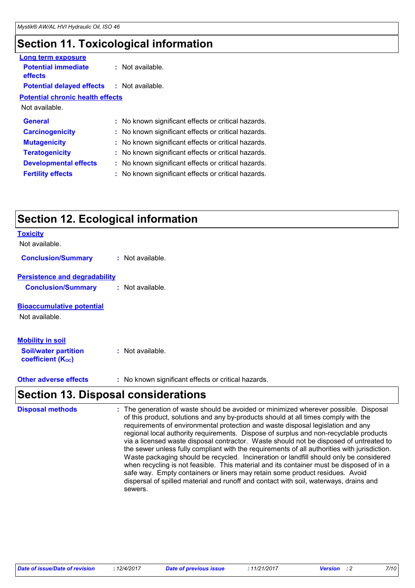### **Section 11. Toxicological information**

| Long term exposure                                |                                                     |
|---------------------------------------------------|-----------------------------------------------------|
| <b>Potential immediate</b><br><b>effects</b>      | : Not available.                                    |
| <b>Potential delayed effects : Not available.</b> |                                                     |
| <b>Potential chronic health effects</b>           |                                                     |
| Not available.                                    |                                                     |
| <b>General</b>                                    | : No known significant effects or critical hazards. |
| <b>Carcinogenicity</b>                            | : No known significant effects or critical hazards. |
| <b>Mutagenicity</b>                               | : No known significant effects or critical hazards. |
| <b>Teratogenicity</b>                             | : No known significant effects or critical hazards. |
| <b>Developmental effects</b>                      | : No known significant effects or critical hazards. |
| <b>Fertility effects</b>                          | : No known significant effects or critical hazards. |
|                                                   |                                                     |

# **Section 12. Ecological information**

| <b>Section 13. Disposal considerations</b>                                         |                                                     |  |
|------------------------------------------------------------------------------------|-----------------------------------------------------|--|
| <b>Other adverse effects</b>                                                       | : No known significant effects or critical hazards. |  |
| <b>Mobility in soil</b><br><b>Soil/water partition</b><br><b>coefficient (Koc)</b> | : Not available.                                    |  |
| <b>Bioaccumulative potential</b><br>Not available.                                 |                                                     |  |
| <b>Persistence and degradability</b><br><b>Conclusion/Summary</b>                  | : Not available.                                    |  |
| <b>Conclusion/Summary</b>                                                          | : Not available.                                    |  |
| <b>Toxicity</b><br>Not available.                                                  |                                                     |  |
|                                                                                    |                                                     |  |

The generation of waste should be avoided or minimized wherever possible. Disposal of this product, solutions and any by-products should at all times comply with the requirements of environmental protection and waste disposal legislation and any regional local authority requirements. Dispose of surplus and non-recyclable products via a licensed waste disposal contractor. Waste should not be disposed of untreated to the sewer unless fully compliant with the requirements of all authorities with jurisdiction. Waste packaging should be recycled. Incineration or landfill should only be considered when recycling is not feasible. This material and its container must be disposed of in a safe way. Empty containers or liners may retain some product residues. Avoid dispersal of spilled material and runoff and contact with soil, waterways, drains and sewers. **Disposal methods :**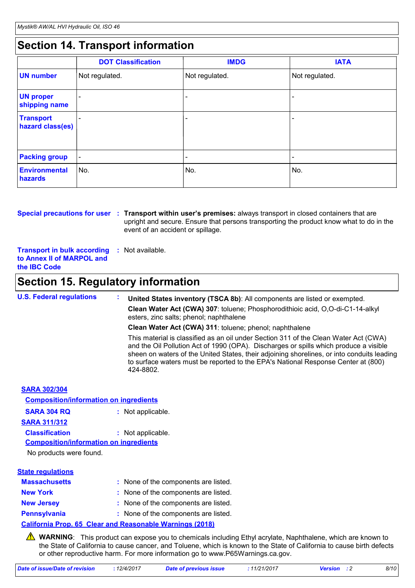# **Section 14. Transport information**

|                                      | <b>DOT Classification</b> | <b>IMDG</b>                  | <b>IATA</b>              |
|--------------------------------------|---------------------------|------------------------------|--------------------------|
| <b>UN number</b>                     | Not regulated.            | Not regulated.               | Not regulated.           |
| <b>UN proper</b><br>shipping name    |                           |                              |                          |
| <b>Transport</b><br>hazard class(es) |                           |                              |                          |
| <b>Packing group</b>                 | $\blacksquare$            | $\qquad \qquad \blacksquare$ | $\overline{\phantom{a}}$ |
| Environmental<br>hazards             | No.                       | No.                          | No.                      |

**Special precautions for user** : Transport within user's premises: always transport in closed containers that are upright and secure. Ensure that persons transporting the product know what to do in the event of an accident or spillage.

**Transport in bulk according to Annex II of MARPOL and the IBC Code :** Not available.

### **Section 15. Regulatory information**

| <b>U.S. Federal regulations</b>               | United States inventory (TSCA 8b): All components are listed or exempted.                                                                                                                                                                                                                                                                                                     |
|-----------------------------------------------|-------------------------------------------------------------------------------------------------------------------------------------------------------------------------------------------------------------------------------------------------------------------------------------------------------------------------------------------------------------------------------|
|                                               | Clean Water Act (CWA) 307: toluene; Phosphorodithioic acid, O,O-di-C1-14-alkyl<br>esters, zinc salts; phenol; naphthalene                                                                                                                                                                                                                                                     |
|                                               | Clean Water Act (CWA) 311: toluene; phenol; naphthalene                                                                                                                                                                                                                                                                                                                       |
|                                               | This material is classified as an oil under Section 311 of the Clean Water Act (CWA)<br>and the Oil Pollution Act of 1990 (OPA). Discharges or spills which produce a visible<br>sheen on waters of the United States, their adjoining shorelines, or into conduits leading<br>to surface waters must be reported to the EPA's National Response Center at (800)<br>424-8802. |
| <b>SARA 302/304</b>                           |                                                                                                                                                                                                                                                                                                                                                                               |
| <b>Composition/information on ingredients</b> |                                                                                                                                                                                                                                                                                                                                                                               |
| <b>SARA 304 RQ</b>                            | : Not applicable.                                                                                                                                                                                                                                                                                                                                                             |

**SARA 311/312 Classification :** Not applicable. **Composition/information on ingredients**

No products were found.

#### **Massachusetts** : None of the components are listed. **New York :** None of the components are listed. **New Jersey :** None of the components are listed. **Pennsylvania :** None of the components are listed. **State regulations**

#### **California Prop. 65 Clear and Reasonable Warnings (2018)**

**A** WARNING: This product can expose you to chemicals including Ethyl acrylate, Naphthalene, which are known to the State of California to cause cancer, and Toluene, which is known to the State of California to cause birth defects or other reproductive harm. For more information go to www.P65Warnings.ca.gov.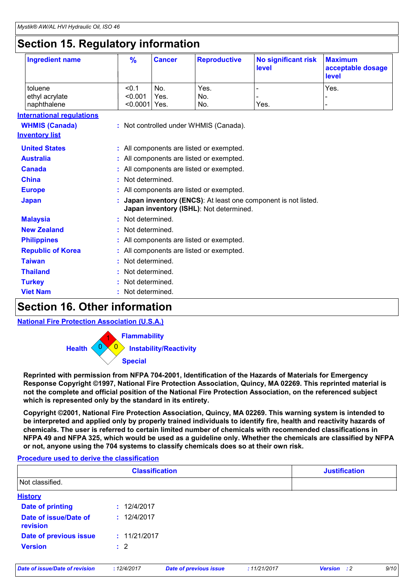### **Section 15. Regulatory information**

| <b>Ingredient name</b>           | $\frac{9}{6}$   | <b>Cancer</b>   | <b>Reproductive</b>                      | <b>No significant risk</b><br>level                           | <b>Maximum</b><br>acceptable dosage<br>level |
|----------------------------------|-----------------|-----------------|------------------------------------------|---------------------------------------------------------------|----------------------------------------------|
| toluene                          | < 0.1           | No.             | Yes.                                     |                                                               | Yes.                                         |
| ethyl acrylate                   | < 0.001         | Yes.            | No.                                      |                                                               |                                              |
| naphthalene                      | < 0.0001        | Yes.            | No.                                      | Yes.                                                          |                                              |
| <b>International regulations</b> |                 |                 |                                          |                                                               |                                              |
| <b>WHMIS (Canada)</b>            |                 |                 | : Not controlled under WHMIS (Canada).   |                                                               |                                              |
| <b>Inventory list</b>            |                 |                 |                                          |                                                               |                                              |
| <b>United States</b>             |                 |                 | : All components are listed or exempted. |                                                               |                                              |
| <b>Australia</b>                 |                 |                 | All components are listed or exempted.   |                                                               |                                              |
| <b>Canada</b>                    |                 |                 | All components are listed or exempted.   |                                                               |                                              |
| <b>China</b>                     |                 | Not determined. |                                          |                                                               |                                              |
| <b>Europe</b>                    |                 |                 | All components are listed or exempted.   |                                                               |                                              |
| <b>Japan</b>                     |                 |                 | Japan inventory (ISHL): Not determined.  | Japan inventory (ENCS): At least one component is not listed. |                                              |
| <b>Malaysia</b>                  | Not determined. |                 |                                          |                                                               |                                              |
| <b>New Zealand</b>               | Not determined. |                 |                                          |                                                               |                                              |
| <b>Philippines</b>               |                 |                 | All components are listed or exempted.   |                                                               |                                              |
| <b>Republic of Korea</b>         |                 |                 | All components are listed or exempted.   |                                                               |                                              |
| <b>Taiwan</b>                    | Not determined. |                 |                                          |                                                               |                                              |
| <b>Thailand</b>                  | Not determined. |                 |                                          |                                                               |                                              |
| <b>Turkey</b>                    | Not determined. |                 |                                          |                                                               |                                              |
| <b>Viet Nam</b>                  | Not determined. |                 |                                          |                                                               |                                              |

### **Section 16. Other information**

**National Fire Protection Association (U.S.A.)**



**Reprinted with permission from NFPA 704-2001, Identification of the Hazards of Materials for Emergency Response Copyright ©1997, National Fire Protection Association, Quincy, MA 02269. This reprinted material is not the complete and official position of the National Fire Protection Association, on the referenced subject which is represented only by the standard in its entirety.**

**Copyright ©2001, National Fire Protection Association, Quincy, MA 02269. This warning system is intended to be interpreted and applied only by properly trained individuals to identify fire, health and reactivity hazards of chemicals. The user is referred to certain limited number of chemicals with recommended classifications in NFPA 49 and NFPA 325, which would be used as a guideline only. Whether the chemicals are classified by NFPA or not, anyone using the 704 systems to classify chemicals does so at their own risk.**

#### **Procedure used to derive the classification**

|                                       | <b>Classification</b> |                               |             | <b>Justification</b> |      |
|---------------------------------------|-----------------------|-------------------------------|-------------|----------------------|------|
| Not classified.                       |                       |                               |             |                      |      |
| <b>History</b>                        |                       |                               |             |                      |      |
| <b>Date of printing</b>               | : 12/4/2017           |                               |             |                      |      |
| Date of issue/Date of<br>revision     | : 12/4/2017           |                               |             |                      |      |
| Date of previous issue                | : 11/21/2017          |                               |             |                      |      |
| <b>Version</b>                        | $\therefore$ 2        |                               |             |                      |      |
| <b>Date of issue/Date of revision</b> | : 12/4/2017           | <b>Date of previous issue</b> | :11/21/2017 | <b>Version</b> : 2   | 9/10 |